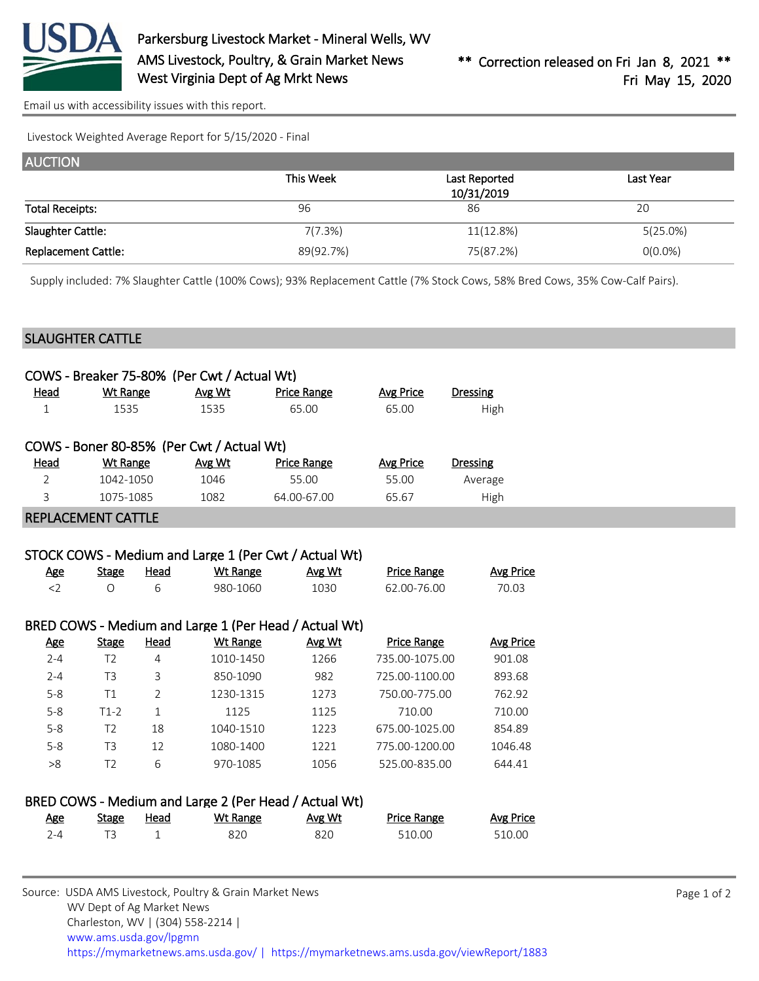

[Email us with accessibility issues with this report.](mailto:mars@ams.usda.gov?subject=508%20issue)

Livestock Weighted Average Report for 5/15/2020 - Final

| <b>AUCTION</b>             |           |                             |             |
|----------------------------|-----------|-----------------------------|-------------|
|                            | This Week | Last Reported<br>10/31/2019 | Last Year   |
| <b>Total Receipts:</b>     | 96        | 86                          | 20          |
| Slaughter Cattle:          | 7(7.3%)   | 11(12.8%)                   | $5(25.0\%)$ |
| <b>Replacement Cattle:</b> | 89(92.7%) | 75(87.2%)                   | $O(0.0\%)$  |

Supply included: 7% Slaughter Cattle (100% Cows); 93% Replacement Cattle (7% Stock Cows, 58% Bred Cows, 35% Cow-Calf Pairs).

## SLAUGHTER CATTLE

|                |                           |             | COWS - Breaker 75-80% (Per Cwt / Actual Wt) |                                                       |                    |                  |
|----------------|---------------------------|-------------|---------------------------------------------|-------------------------------------------------------|--------------------|------------------|
| Head           | Wt Range                  |             | Avg Wt                                      | <b>Price Range</b>                                    | Avg Price          | <b>Dressing</b>  |
| $\mathbf 1$    | 1535                      |             | 1535                                        | 65.00                                                 | 65.00              | High             |
|                |                           |             | COWS - Boner 80-85% (Per Cwt / Actual Wt)   |                                                       |                    |                  |
| <b>Head</b>    | <b>Wt Range</b>           |             | Avg Wt                                      | <b>Price Range</b>                                    | <b>Avg Price</b>   | <b>Dressing</b>  |
| $\overline{2}$ | 1042-1050                 |             | 1046                                        | 55.00                                                 | 55.00              | Average          |
| 3              | 1075-1085                 |             | 1082                                        | 64.00-67.00                                           | 65.67              | High             |
|                | <b>REPLACEMENT CATTLE</b> |             |                                             |                                                       |                    |                  |
|                |                           |             |                                             |                                                       |                    |                  |
|                |                           |             |                                             | STOCK COWS - Medium and Large 1 (Per Cwt / Actual Wt) |                    |                  |
| <u>Age</u>     | <b>Stage</b>              | <b>Head</b> | <b>Wt Range</b>                             | Avg Wt                                                | <b>Price Range</b> | <b>Avg Price</b> |
| $\langle$ 2    | $\circ$                   | 6           | 980-1060                                    | 1030                                                  | 62.00-76.00        | 70.03            |
|                |                           |             |                                             |                                                       |                    |                  |

# BRED COWS - Medium and Large 1 (Per Head / Actual Wt)

| <b>Age</b> | <b>Stage</b> | Head | Wt Range  | Avg Wt | <b>Price Range</b> | Avg Price |
|------------|--------------|------|-----------|--------|--------------------|-----------|
| $2 - 4$    | Τ2           | 4    | 1010-1450 | 1266   | 735.00-1075.00     | 901.08    |
| $2 - 4$    | T3           | 3    | 850-1090  | 982    | 725.00-1100.00     | 893.68    |
| $5 - 8$    | Τ1           |      | 1230-1315 | 1273   | 750.00-775.00      | 762.92    |
| $5 - 8$    | T1-2         |      | 1125      | 1125   | 710.00             | 710.00    |
| $5 - 8$    | T2           | 18   | 1040-1510 | 1223   | 675.00-1025.00     | 854.89    |
| $5 - 8$    | T3           | 12   | 1080-1400 | 1221   | 775.00-1200.00     | 1046.48   |
| >8         | T2           | 6    | 970-1085  | 1056   | 525.00-835.00      | 644.41    |
|            |              |      |           |        |                    |           |

### BRED COWS - Medium and Large 2 (Per Head / Actual Wt)

| <u>Age</u> | Stage | <u>Head</u> | Wt Range | Avg Wt | <b>Price Range</b> | <b>Avg Price</b> |
|------------|-------|-------------|----------|--------|--------------------|------------------|
| $2 - 4$    |       |             | 820      | 820    | 510.00             | 510.00           |